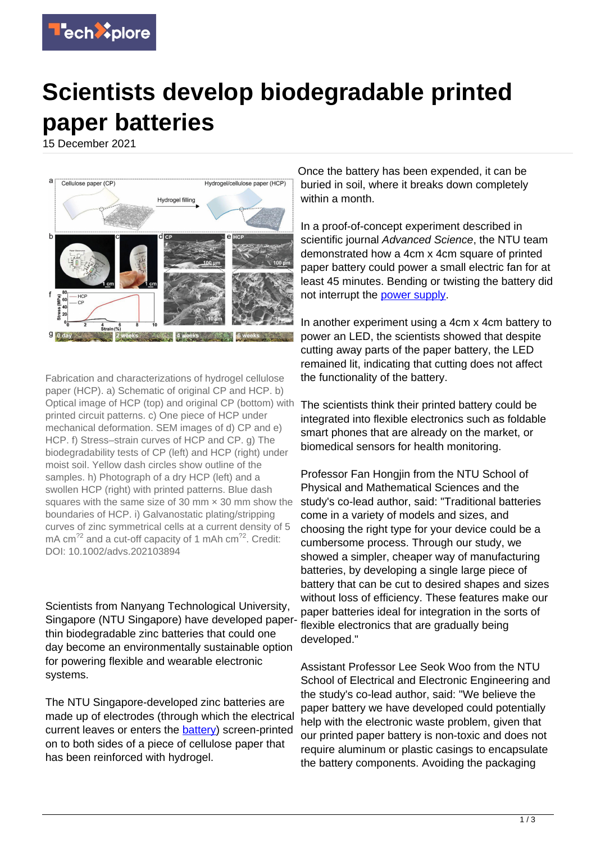

## **Scientists develop biodegradable printed paper batteries**

15 December 2021



Fabrication and characterizations of hydrogel cellulose paper (HCP). a) Schematic of original CP and HCP. b) Optical image of HCP (top) and original CP (bottom) with printed circuit patterns. c) One piece of HCP under mechanical deformation. SEM images of d) CP and e) HCP. f) Stress–strain curves of HCP and CP. g) The biodegradability tests of CP (left) and HCP (right) under moist soil. Yellow dash circles show outline of the samples. h) Photograph of a dry HCP (left) and a swollen HCP (right) with printed patterns. Blue dash squares with the same size of 30 mm  $\times$  30 mm show the boundaries of HCP. i) Galvanostatic plating/stripping curves of zinc symmetrical cells at a current density of 5 mA cm<sup>22</sup> and a cut-off capacity of 1 mAh cm<sup>22</sup>. Credit: DOI: 10.1002/advs.202103894

Scientists from Nanyang Technological University, Singapore (NTU Singapore) have developed paperthin biodegradable zinc batteries that could one day become an environmentally sustainable option for powering flexible and wearable electronic systems.

The NTU Singapore-developed zinc batteries are made up of electrodes (through which the electrical current leaves or enters the [battery\)](https://techxplore.com/tags/battery/) screen-printed on to both sides of a piece of cellulose paper that has been reinforced with hydrogel.

Once the battery has been expended, it can be buried in soil, where it breaks down completely within a month.

In a proof-of-concept experiment described in scientific journal Advanced Science, the NTU team demonstrated how a 4cm x 4cm square of printed paper battery could power a small electric fan for at least 45 minutes. Bending or twisting the battery did not interrupt the [power supply](https://techxplore.com/tags/power+supply/).

In another experiment using a 4cm x 4cm battery to power an LED, the scientists showed that despite cutting away parts of the paper battery, the LED remained lit, indicating that cutting does not affect the functionality of the battery.

The scientists think their printed battery could be integrated into flexible electronics such as foldable smart phones that are already on the market, or biomedical sensors for health monitoring.

Professor Fan Hongjin from the NTU School of Physical and Mathematical Sciences and the study's co-lead author, said: "Traditional batteries come in a variety of models and sizes, and choosing the right type for your device could be a cumbersome process. Through our study, we showed a simpler, cheaper way of manufacturing batteries, by developing a single large piece of battery that can be cut to desired shapes and sizes without loss of efficiency. These features make our paper batteries ideal for integration in the sorts of flexible electronics that are gradually being developed."

Assistant Professor Lee Seok Woo from the NTU School of Electrical and Electronic Engineering and the study's co-lead author, said: "We believe the paper battery we have developed could potentially help with the electronic waste problem, given that our printed paper battery is non-toxic and does not require aluminum or plastic casings to encapsulate the battery components. Avoiding the packaging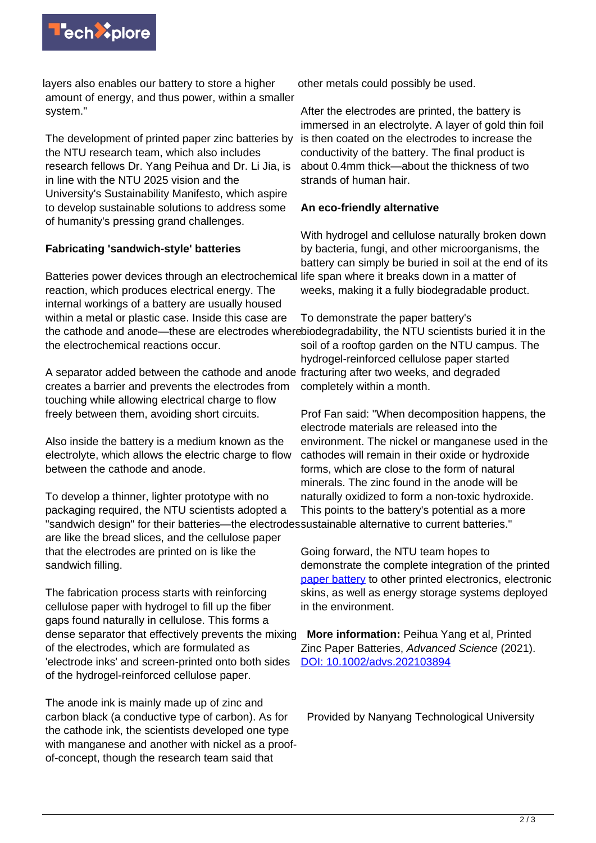

layers also enables our battery to store a higher amount of energy, and thus power, within a smaller system."

The development of printed paper zinc batteries by the NTU research team, which also includes research fellows Dr. Yang Peihua and Dr. Li Jia, is in line with the NTU 2025 vision and the University's Sustainability Manifesto, which aspire to develop sustainable solutions to address some of humanity's pressing grand challenges.

## **Fabricating 'sandwich-style' batteries**

Batteries power devices through an electrochemical reaction, which produces electrical energy. The internal workings of a battery are usually housed within a metal or plastic case. Inside this case are the cathode and anode—these are electrodes where biodegradability, the NTU scientists buried it in the the electrochemical reactions occur.

A separator added between the cathode and anode fracturing after two weeks, and degraded creates a barrier and prevents the electrodes from touching while allowing electrical charge to flow freely between them, avoiding short circuits.

Also inside the battery is a medium known as the electrolyte, which allows the electric charge to flow between the cathode and anode.

To develop a thinner, lighter prototype with no packaging required, the NTU scientists adopted a "sandwich design" for their batteries—the electrodes sustainable alternative to current batteries." are like the bread slices, and the cellulose paper that the electrodes are printed on is like the sandwich filling.

The fabrication process starts with reinforcing cellulose paper with hydrogel to fill up the fiber gaps found naturally in cellulose. This forms a dense separator that effectively prevents the mixing of the electrodes, which are formulated as 'electrode inks' and screen-printed onto both sides of the hydrogel-reinforced cellulose paper.

The anode ink is mainly made up of zinc and carbon black (a conductive type of carbon). As for the cathode ink, the scientists developed one type with manganese and another with nickel as a proofof-concept, though the research team said that

other metals could possibly be used.

After the electrodes are printed, the battery is immersed in an electrolyte. A layer of gold thin foil is then coated on the electrodes to increase the conductivity of the battery. The final product is about 0.4mm thick—about the thickness of two strands of human hair.

## **An eco-friendly alternative**

With hydrogel and cellulose naturally broken down by bacteria, fungi, and other microorganisms, the battery can simply be buried in soil at the end of its life span where it breaks down in a matter of weeks, making it a fully biodegradable product.

To demonstrate the paper battery's soil of a rooftop garden on the NTU campus. The hydrogel-reinforced cellulose paper started completely within a month.

Prof Fan said: "When decomposition happens, the electrode materials are released into the environment. The nickel or manganese used in the cathodes will remain in their oxide or hydroxide forms, which are close to the form of natural minerals. The zinc found in the anode will be naturally oxidized to form a non-toxic hydroxide. This points to the battery's potential as a more

Going forward, the NTU team hopes to demonstrate the complete integration of the printed [paper battery](https://techxplore.com/tags/paper+battery/) to other printed electronics, electronic skins, as well as energy storage systems deployed in the environment.

 **More information:** Peihua Yang et al, Printed Zinc Paper Batteries, Advanced Science (2021). [DOI: 10.1002/advs.202103894](http://dx.doi.org/10.1002/advs.202103894)

Provided by Nanyang Technological University